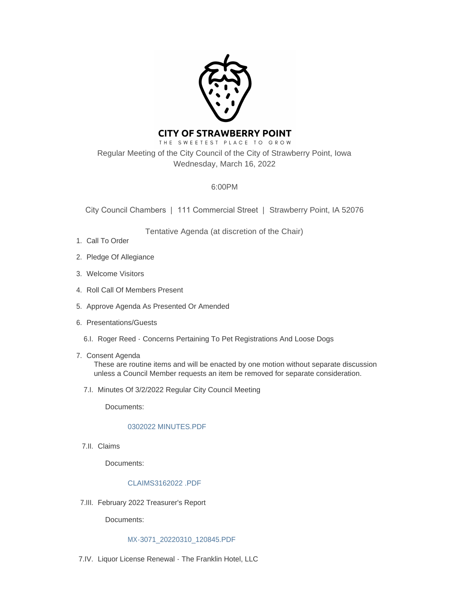

# **CITY OF STRAWBERRY POINT**

THE SWEETEST PLACE TO GROW Regular Meeting of the City Council of the City of Strawberry Point, Iowa Wednesday, March 16, 2022

# 6:00PM

City Council Chambers | 111 Commercial Street | Strawberry Point, IA 52076

Tentative Agenda (at discretion of the Chair)

- 1. Call To Order
- 2. Pledge Of Allegiance
- Welcome Visitors 3.
- 4. Roll Call Of Members Present
- 5. Approve Agenda As Presented Or Amended
- 6. Presentations/Guests
	- 6.I. Roger Reed Concerns Pertaining To Pet Registrations And Loose Dogs
- 7. Consent Agenda

These are routine items and will be enacted by one motion without separate discussion unless a Council Member requests an item be removed for separate consideration.

7.I. Minutes Of 3/2/2022 Regular City Council Meeting

Documents:

## [0302022 MINUTES.PDF](http://www.strawberrypt.com/AgendaCenter/ViewFile/Item/623?fileID=528)

7.II. Claims

Documents:

## [CLAIMS3162022 .PDF](http://www.strawberrypt.com/AgendaCenter/ViewFile/Item/622?fileID=532)

February 2022 Treasurer's Report 7.III.

Documents:

#### [MX-3071\\_20220310\\_120845.PDF](http://www.strawberrypt.com/AgendaCenter/ViewFile/Item/624?fileID=529)

7.IV. Liquor License Renewal - The Franklin Hotel, LLC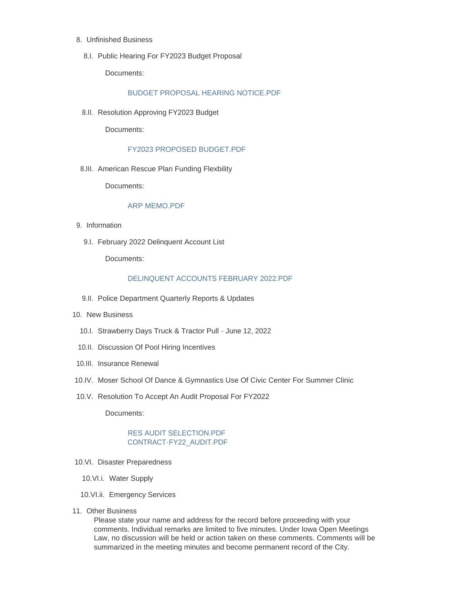- Unfinished Business 8.
	- 8.I. Public Hearing For FY2023 Budget Proposal

Documents:

#### [BUDGET PROPOSAL HEARING NOTICE.PDF](http://www.strawberrypt.com/AgendaCenter/ViewFile/Item/461?fileID=530)

8.II. Resolution Approving FY2023 Budget

Documents:

#### [FY2023 PROPOSED BUDGET.PDF](http://www.strawberrypt.com/AgendaCenter/ViewFile/Item/462?fileID=527)

8.III. American Rescue Plan Funding Flexbility

Documents:

#### [ARP MEMO.PDF](http://www.strawberrypt.com/AgendaCenter/ViewFile/Item/626?fileID=531)

- 9. Information
	- 9.I. February 2022 Delinquent Account List

Documents:

#### [DELINQUENT ACCOUNTS FEBRUARY 2022.PDF](http://www.strawberrypt.com/AgendaCenter/ViewFile/Item/625?fileID=533)

- 9.II. Police Department Quarterly Reports & Updates
- 10. New Business
	- 10.I. Strawberry Days Truck & Tractor Pull June 12, 2022
	- 10.II. Discussion Of Pool Hiring Incentives
- 10.III. Insurance Renewal
- 10.IV. Moser School Of Dance & Gymnastics Use Of Civic Center For Summer Clinic
- 10.V. Resolution To Accept An Audit Proposal For FY2022

Documents:

#### [RES AUDIT SELECTION.PDF](http://www.strawberrypt.com/AgendaCenter/ViewFile/Item/568?fileID=485) [CONTRACT-FY22\\_AUDIT.PDF](http://www.strawberrypt.com/AgendaCenter/ViewFile/Item/568?fileID=486)

- 10.VI. Disaster Preparedness
	- 10.VI.i. Water Supply
	- 10.VI.ii. Emergency Services
- 11. Other Business

Please state your name and address for the record before proceeding with your comments. Individual remarks are limited to five minutes. Under Iowa Open Meetings Law, no discussion will be held or action taken on these comments. Comments will be summarized in the meeting minutes and become permanent record of the City.